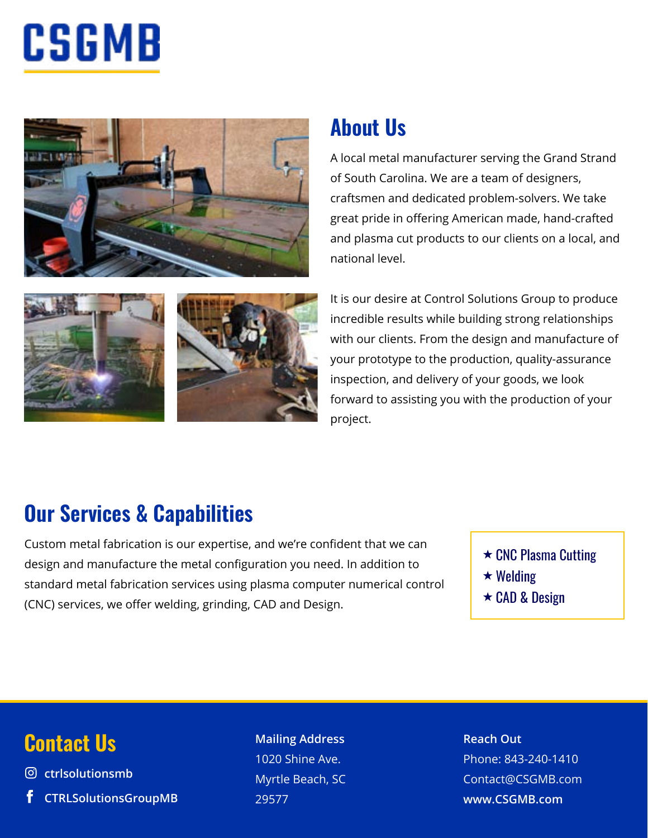# CSGMB







## **About Us**

A local metal manufacturer serving the Grand Strand of South Carolina. We are a team of designers, craftsmen and dedicated problem-solvers. We take great pride in offering American made, hand-crafted and plasma cut products to our clients on a local, and national level.

It is our desire at Control Solutions Group to produce incredible results while building strong relationships with our clients. From the design and manufacture of your prototype to the production, quality-assurance inspection, and delivery of your goods, we look forward to assisting you with the production of your project.

### **Our Services & Capabilities**

Custom metal fabrication is our expertise, and we're confident that we can design and manufacture the metal configuration you need. In addition to standard metal fabrication services using plasma computer numerical control (CNC) services, we offer welding, grinding, CAD and Design.

- $\star$  CNC Plasma Cutting
- $\star$  Welding
- **★ CAD & Design**

### **Contact Us Mailing Address**

**ctrlsolutionsmb CTRLSolutionsGroupMB**

### 1020 Shine Ave. Myrtle Beach, SC 29577

**Reach Out** Phone: 843-240-1410 Contact@CSGMB.com **www.CSGMB.com**